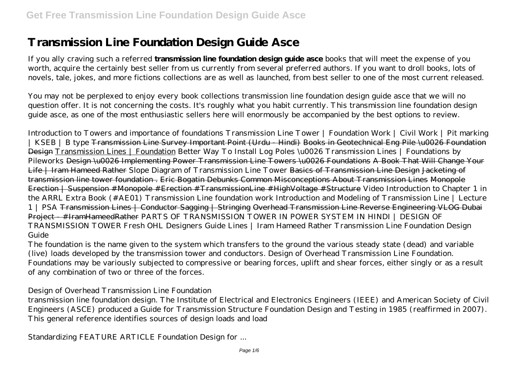If you ally craving such a referred **transmission line foundation design guide asce** books that will meet the expense of you worth, acquire the certainly best seller from us currently from several preferred authors. If you want to droll books, lots of novels, tale, jokes, and more fictions collections are as well as launched, from best seller to one of the most current released.

You may not be perplexed to enjoy every book collections transmission line foundation design guide asce that we will no question offer. It is not concerning the costs. It's roughly what you habit currently. This transmission line foundation design guide asce, as one of the most enthusiastic sellers here will enormously be accompanied by the best options to review.

*Introduction to Towers and importance of foundations Transmission Line Tower | Foundation Work | Civil Work | Pit marking | KSEB | B type* Transmission Line Survey Important Point (Urdu - Hindi) Books in Geotechnical Eng Pile \u0026 Foundation Design Transmission Lines | Foundation *Better Way To Install Log Poles \u0026 Transmission Lines | Foundations by Pileworks* Design \u0026 Implementing Power Transmission Line Towers \u0026 Foundations A Book That Will Change Your Life | Iram Hameed Rather Slope Diagram of Transmission Line Tower Basics of Transmission Line Design Jacketing of transmission line tower foundation . Eric Bogatin Debunks Common Misconceptions About Transmission Lines Monopole Erection | Suspension #Monopole #Erection #TransmissionLine #HighVoltage #Structure *Video Introduction to Chapter 1 in the ARRL Extra Book (#AE01) Transmission Line foundation work Introduction and Modeling of Transmission Line | Lecture 1 | PSA* Transmission Lines | Conductor Sagging | Stringing Overhead Transmission Line Reverse Engineering VLOG Dubai Project - #IramHameedRather *PARTS OF TRANSMISSION TOWER IN POWER SYSTEM IN HINDI | DESIGN OF TRANSMISSION TOWER Fresh OHL Designers Guide Lines | Iram Hameed Rather* Transmission Line Foundation Design Guide

The foundation is the name given to the system which transfers to the ground the various steady state (dead) and variable (live) loads developed by the transmission tower and conductors. Design of Overhead Transmission Line Foundation. Foundations may be variously subjected to compressive or bearing forces, uplift and shear forces, either singly or as a result of any combination of two or three of the forces.

Design of Overhead Transmission Line Foundation

transmission line foundation design. The Institute of Electrical and Electronics Engineers (IEEE) and American Society of Civil Engineers (ASCE) produced a Guide for Transmission Structure Foundation Design and Testing in 1985 (reaffirmed in 2007). This general reference identifies sources of design loads and load

Standardizing FEATURE ARTICLE Foundation Design for ...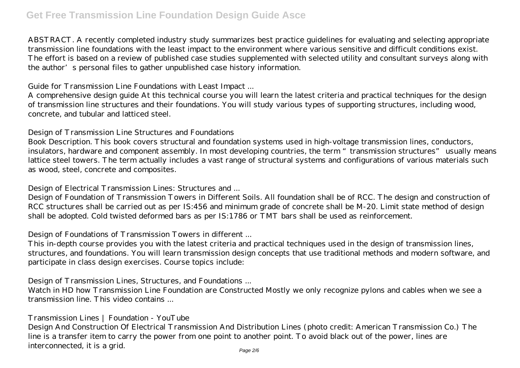ABSTRACT. A recently completed industry study summarizes best practice guidelines for evaluating and selecting appropriate transmission line foundations with the least impact to the environment where various sensitive and difficult conditions exist. The effort is based on a review of published case studies supplemented with selected utility and consultant surveys along with the author's personal files to gather unpublished case history information.

Guide for Transmission Line Foundations with Least Impact ...

A comprehensive design guide At this technical course you will learn the latest criteria and practical techniques for the design of transmission line structures and their foundations. You will study various types of supporting structures, including wood, concrete, and tubular and latticed steel.

Design of Transmission Line Structures and Foundations

Book Description. This book covers structural and foundation systems used in high-voltage transmission lines, conductors, insulators, hardware and component assembly. In most developing countries, the term "transmission structures" usually means lattice steel towers. The term actually includes a vast range of structural systems and configurations of various materials such as wood, steel, concrete and composites.

Design of Electrical Transmission Lines: Structures and ...

Design of Foundation of Transmission Towers in Different Soils. All foundation shall be of RCC. The design and construction of RCC structures shall be carried out as per IS:456 and minimum grade of concrete shall be M-20. Limit state method of design shall be adopted. Cold twisted deformed bars as per IS:1786 or TMT bars shall be used as reinforcement.

Design of Foundations of Transmission Towers in different ...

This in-depth course provides you with the latest criteria and practical techniques used in the design of transmission lines, structures, and foundations. You will learn transmission design concepts that use traditional methods and modern software, and participate in class design exercises. Course topics include:

Design of Transmission Lines, Structures, and Foundations ...

Watch in HD how Transmission Line Foundation are Constructed Mostly we only recognize pylons and cables when we see a transmission line. This video contains ...

Transmission Lines | Foundation - YouTube

Design And Construction Of Electrical Transmission And Distribution Lines (photo credit: American Transmission Co.) The line is a transfer item to carry the power from one point to another point. To avoid black out of the power, lines are interconnected, it is a grid. Page 2/6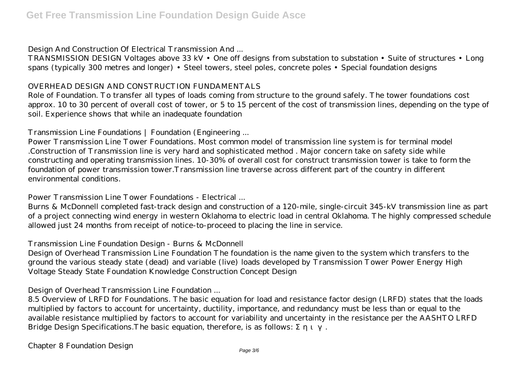Design And Construction Of Electrical Transmission And ...

TRANSMISSION DESIGN Voltages above 33 kV • One off designs from substation to substation • Suite of structures • Long spans (typically 300 metres and longer) • Steel towers, steel poles, concrete poles • Special foundation designs

#### OVERHEAD DESIGN AND CONSTRUCTION FUNDAMENTALS

Role of Foundation. To transfer all types of loads coming from structure to the ground safely. The tower foundations cost approx. 10 to 30 percent of overall cost of tower, or 5 to 15 percent of the cost of transmission lines, depending on the type of soil. Experience shows that while an inadequate foundation

Transmission Line Foundations | Foundation (Engineering ...

Power Transmission Line Tower Foundations. Most common model of transmission line system is for terminal model .Construction of Transmission line is very hard and sophisticated method . Major concern take on safety side while constructing and operating transmission lines. 10-30% of overall cost for construct transmission tower is take to form the foundation of power transmission tower.Transmission line traverse across different part of the country in different environmental conditions.

Power Transmission Line Tower Foundations - Electrical ...

Burns & McDonnell completed fast-track design and construction of a 120-mile, single-circuit 345-kV transmission line as part of a project connecting wind energy in western Oklahoma to electric load in central Oklahoma. The highly compressed schedule allowed just 24 months from receipt of notice-to-proceed to placing the line in service.

Transmission Line Foundation Design - Burns & McDonnell

Design of Overhead Transmission Line Foundation The foundation is the name given to the system which transfers to the ground the various steady state (dead) and variable (live) loads developed by Transmission Tower Power Energy High Voltage Steady State Foundation Knowledge Construction Concept Design

Design of Overhead Transmission Line Foundation ...

8.5 Overview of LRFD for Foundations. The basic equation for load and resistance factor design (LRFD) states that the loads multiplied by factors to account for uncertainty, ductility, importance, and redundancy must be less than or equal to the available resistance multiplied by factors to account for variability and uncertainty in the resistance per the AASHTO LRFD Bridge Design Specifications. The basic equation, therefore, is as follows: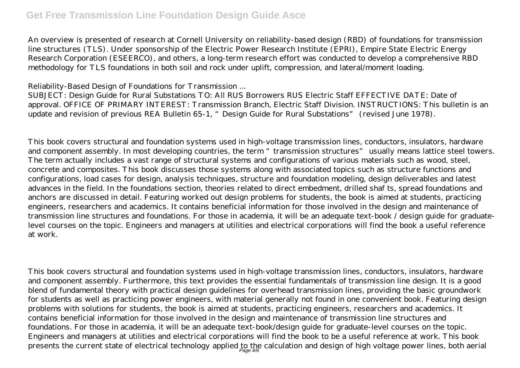An overview is presented of research at Cornell University on reliability-based design (RBD) of foundations for transmission line structures (TLS). Under sponsorship of the Electric Power Research Institute (EPRI), Empire State Electric Energy Research Corporation (ESEERCO), and others, a long-term research effort was conducted to develop a comprehensive RBD methodology for TLS foundations in both soil and rock under uplift, compression, and lateral/moment loading.

Reliability-Based Design of Foundations for Transmission ...

SUBJECT: Design Guide for Rural Substations TO: All RUS Borrowers RUS Electric Staff EFFECTIVE DATE: Date of approval. OFFICE OF PRIMARY INTEREST: Transmission Branch, Electric Staff Division. INSTRUCTIONS: This bulletin is an update and revision of previous REA Bulletin 65-1, "Design Guide for Rural Substations" (revised June 1978).

This book covers structural and foundation systems used in high-voltage transmission lines, conductors, insulators, hardware and component assembly. In most developing countries, the term "transmission structures" usually means lattice steel towers. The term actually includes a vast range of structural systems and configurations of various materials such as wood, steel, concrete and composites. This book discusses those systems along with associated topics such as structure functions and configurations, load cases for design, analysis techniques, structure and foundation modeling, design deliverables and latest advances in the field. In the foundations section, theories related to direct embedment, drilled shaf ts, spread foundations and anchors are discussed in detail. Featuring worked out design problems for students, the book is aimed at students, practicing engineers, researchers and academics. It contains beneficial information for those involved in the design and maintenance of transmission line structures and foundations. For those in academia, it will be an adequate text-book / design guide for graduatelevel courses on the topic. Engineers and managers at utilities and electrical corporations will find the book a useful reference at work.

This book covers structural and foundation systems used in high-voltage transmission lines, conductors, insulators, hardware and component assembly. Furthermore, this text provides the essential fundamentals of transmission line design. It is a good blend of fundamental theory with practical design guidelines for overhead transmission lines, providing the basic groundwork for students as well as practicing power engineers, with material generally not found in one convenient book. Featuring design problems with solutions for students, the book is aimed at students, practicing engineers, researchers and academics. It contains beneficial information for those involved in the design and maintenance of transmission line structures and foundations. For those in academia, it will be an adequate text-book/design guide for graduate-level courses on the topic. Engineers and managers at utilities and electrical corporations will find the book to be a useful reference at work. This book presents the current state of electrical technology applied to the calculation and design of high voltage power lines, both aerial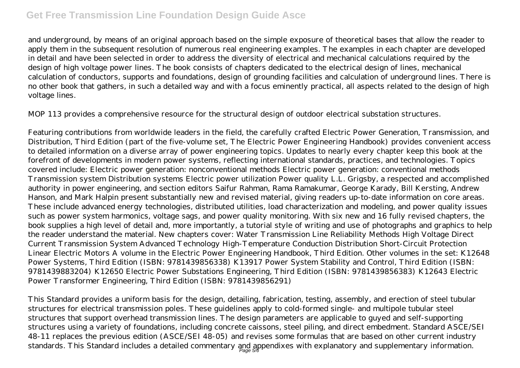and underground, by means of an original approach based on the simple exposure of theoretical bases that allow the reader to apply them in the subsequent resolution of numerous real engineering examples. The examples in each chapter are developed in detail and have been selected in order to address the diversity of electrical and mechanical calculations required by the design of high voltage power lines. The book consists of chapters dedicated to the electrical design of lines, mechanical calculation of conductors, supports and foundations, design of grounding facilities and calculation of underground lines. There is no other book that gathers, in such a detailed way and with a focus eminently practical, all aspects related to the design of high voltage lines.

MOP 113 provides a comprehensive resource for the structural design of outdoor electrical substation structures.

Featuring contributions from worldwide leaders in the field, the carefully crafted Electric Power Generation, Transmission, and Distribution, Third Edition (part of the five-volume set, The Electric Power Engineering Handbook) provides convenient access to detailed information on a diverse array of power engineering topics. Updates to nearly every chapter keep this book at the forefront of developments in modern power systems, reflecting international standards, practices, and technologies. Topics covered include: Electric power generation: nonconventional methods Electric power generation: conventional methods Transmission system Distribution systems Electric power utilization Power quality L.L. Grigsby, a respected and accomplished authority in power engineering, and section editors Saifur Rahman, Rama Ramakumar, George Karady, Bill Kersting, Andrew Hanson, and Mark Halpin present substantially new and revised material, giving readers up-to-date information on core areas. These include advanced energy technologies, distributed utilities, load characterization and modeling, and power quality issues such as power system harmonics, voltage sags, and power quality monitoring. With six new and 16 fully revised chapters, the book supplies a high level of detail and, more importantly, a tutorial style of writing and use of photographs and graphics to help the reader understand the material. New chapters cover: Water Transmission Line Reliability Methods High Voltage Direct Current Transmission System Advanced Technology High-Temperature Conduction Distribution Short-Circuit Protection Linear Electric Motors A volume in the Electric Power Engineering Handbook, Third Edition. Other volumes in the set: K12648 Power Systems, Third Edition (ISBN: 9781439856338) K13917 Power System Stability and Control, Third Edition (ISBN: 9781439883204) K12650 Electric Power Substations Engineering, Third Edition (ISBN: 9781439856383) K12643 Electric Power Transformer Engineering, Third Edition (ISBN: 9781439856291)

This Standard provides a uniform basis for the design, detailing, fabrication, testing, assembly, and erection of steel tubular structures for electrical transmission poles. These guidelines apply to cold-formed single- and multipole tubular steel structures that support overhead transmission lines. The design parameters are applicable to guyed and self-supporting structures using a variety of foundations, including concrete caissons, steel piling, and direct embedment. Standard ASCE/SEI 48-11 replaces the previous edition (ASCE/SEI 48-05) and revises some formulas that are based on other current industry standards. This Standard includes a detailed commentary and appendixes with explanatory and supplementary information.